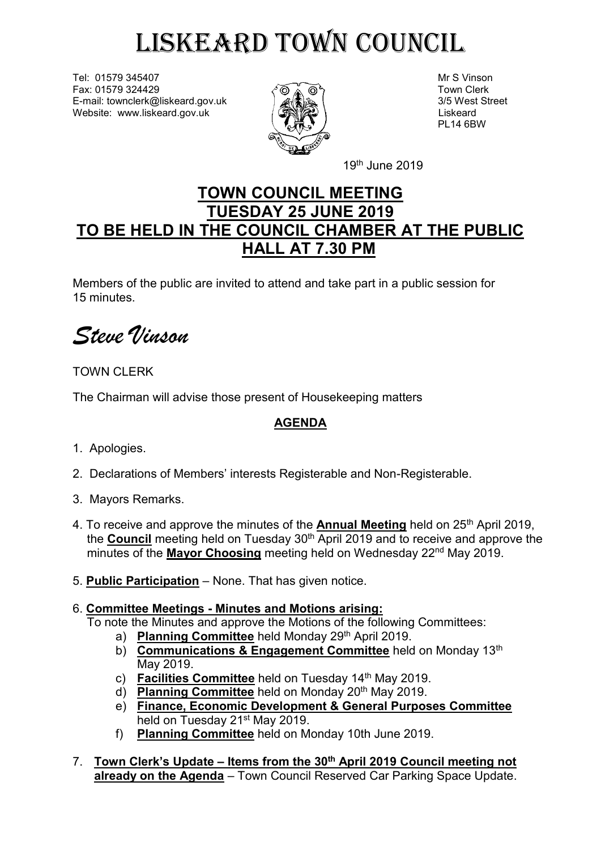# LISKEARD TOWN COUNCIL

Tel: 01579 345407 Mr S Vinson Fax: 01579 324429  $\delta \otimes \delta$   $\otimes \delta$ E-mail: townclerk@liskeard.gov.uk 3/5 West Street 3. 3/5 West Street Website: www.liskeard.gov.uk and  $\sqrt{2}$  (SNIZU)



PL14 6BW

19<sup>th</sup> June 2019

## **TOWN COUNCIL MEETING TUESDAY 25 JUNE 2019 TO BE HELD IN THE COUNCIL CHAMBER AT THE PUBLIC HALL AT 7.30 PM**

Members of the public are invited to attend and take part in a public session for 15 minutes.

*Steve Vinson*

#### TOWN CLERK

The Chairman will advise those present of Housekeeping matters

### **AGENDA**

- 1. Apologies.
- 2. Declarations of Members' interests Registerable and Non-Registerable.
- 3. Mayors Remarks.
- 4. To receive and approve the minutes of the **Annual Meeting** held on 25th April 2019, the **Council** meeting held on Tuesday 30<sup>th</sup> April 2019 and to receive and approve the minutes of the **Mayor Choosing** meeting held on Wednesday 22<sup>nd</sup> May 2019.
- 5. **Public Participation** None. That has given notice.

#### 6. **Committee Meetings - Minutes and Motions arising:**

To note the Minutes and approve the Motions of the following Committees:

- a) **Planning Committee** held Monday 29th April 2019.
- b) **Communications & Engagement Committee** held on Monday 13<sup>th</sup> May 2019.
- c) **Facilities Committee** held on Tuesday 14<sup>th</sup> May 2019.
- d) **Planning Committee** held on Monday 20th May 2019.
- e) **Finance, Economic Development & General Purposes Committee**  held on Tuesday 21<sup>st</sup> May 2019.
- f) **Planning Committee** held on Monday 10th June 2019.
- 7. **Town Clerk's Update – Items from the 30th April 2019 Council meeting not already on the Agenda** – Town Council Reserved Car Parking Space Update.